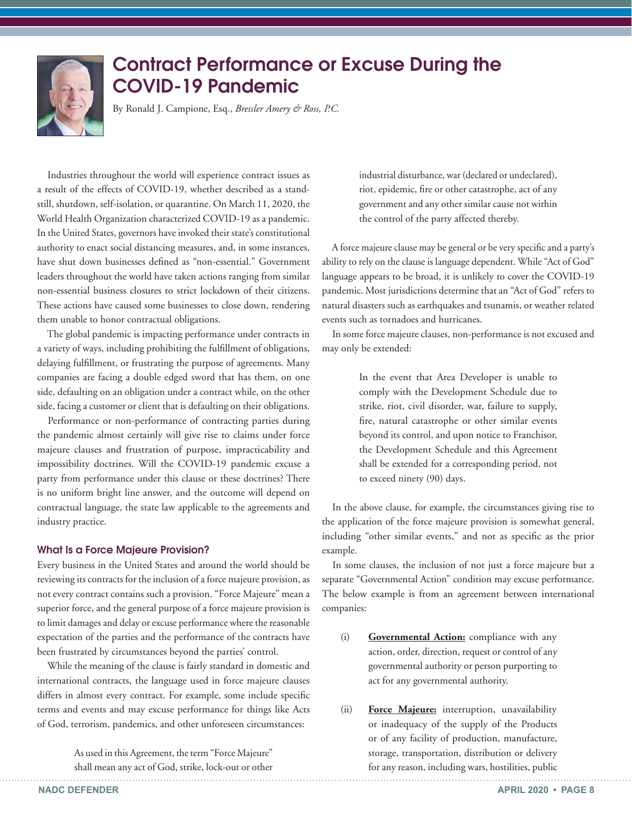

## Contract Performance or Excuse During the COVID-19 Pandemic

By Ronald J. Campione, Esq., *Bressler Amery & Ross, P.C.*

Industries throughout the world will experience contract issues as a result of the effects of COVID-19, whether described as a standstill, shutdown, self-isolation, or quarantine. On March 11, 2020, the World Health Organization characterized COVID-19 as a pandemic. In the United States, governors have invoked their state's constitutional authority to enact social distancing measures, and, in some instances, have shut down businesses defined as "non-essential." Government leaders throughout the world have taken actions ranging from similar non-essential business closures to strict lockdown of their citizens. These actions have caused some businesses to close down, rendering them unable to honor contractual obligations.

The global pandemic is impacting performance under contracts in a variety of ways, including prohibiting the fulfillment of obligations, delaying fulfillment, or frustrating the purpose of agreements. Many companies are facing a double edged sword that has them, on one side, defaulting on an obligation under a contract while, on the other side, facing a customer or client that is defaulting on their obligations.

Performance or non-performance of contracting parties during the pandemic almost certainly will give rise to claims under force majeure clauses and frustration of purpose, impracticability and impossibility doctrines. Will the COVID-19 pandemic excuse a party from performance under this clause or these doctrines? There is no uniform bright line answer, and the outcome will depend on contractual language, the state law applicable to the agreements and industry practice.

## What Is a Force Majeure Provision?

Every business in the United States and around the world should be reviewing its contracts for the inclusion of a force majeure provision, as not every contract contains such a provision. "Force Majeure" mean a superior force, and the general purpose of a force majeure provision is to limit damages and delay or excuse performance where the reasonable expectation of the parties and the performance of the contracts have been frustrated by circumstances beyond the parties' control.

While the meaning of the clause is fairly standard in domestic and international contracts, the language used in force majeure clauses differs in almost every contract. For example, some include specific terms and events and may excuse performance for things like Acts of God, terrorism, pandemics, and other unforeseen circumstances:

> As used in this Agreement, the term "Force Majeure" shall mean any act of God, strike, lock-out or other

industrial disturbance, war (declared or undeclared), riot, epidemic, fire or other catastrophe, act of any government and any other similar cause not within the control of the party affected thereby.

A force majeure clause may be general or be very specific and a party's ability to rely on the clause is language dependent. While "Act of God" language appears to be broad, it is unlikely to cover the COVID-19 pandemic. Most jurisdictions determine that an "Act of God" refers to natural disasters such as earthquakes and tsunamis, or weather related events such as tornadoes and hurricanes.

In some force majeure clauses, non-performance is not excused and may only be extended:

> In the event that Area Developer is unable to comply with the Development Schedule due to strike, riot, civil disorder, war, failure to supply, fire, natural catastrophe or other similar events beyond its control, and upon notice to Franchisor, the Development Schedule and this Agreement shall be extended for a corresponding period, not to exceed ninety (90) days.

In the above clause, for example, the circumstances giving rise to the application of the force majeure provision is somewhat general, including "other similar events," and not as specific as the prior example.

In some clauses, the inclusion of not just a force majeure but a separate "Governmental Action" condition may excuse performance. The below example is from an agreement between international companies:

- (i) **Governmental Action:** compliance with any action, order, direction, request or control of any governmental authority or person purporting to act for any governmental authority.
- (ii) **Force Majeure:** interruption, unavailability or inadequacy of the supply of the Products or of any facility of production, manufacture, storage, transportation, distribution or delivery for any reason, including wars, hostilities, public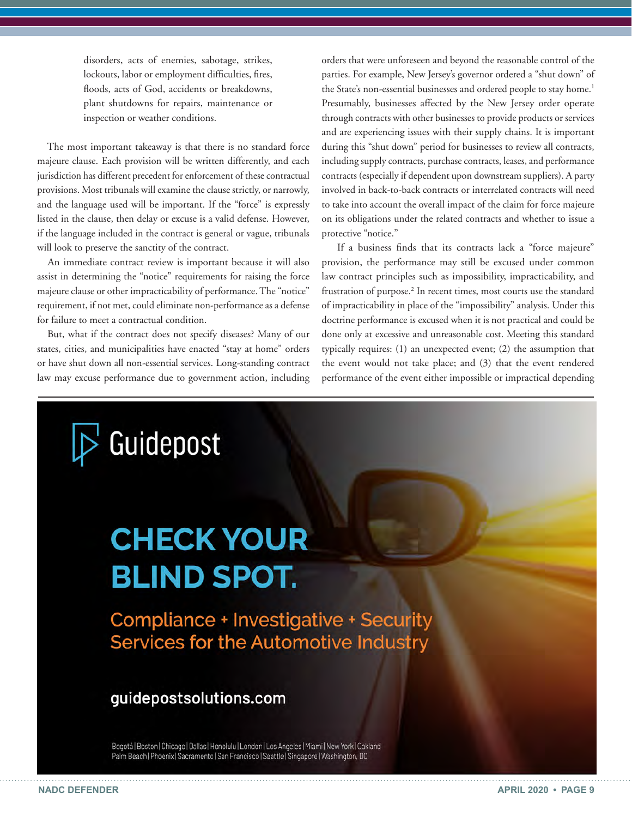disorders, acts of enemies, sabotage, strikes, lockouts, labor or employment difficulties, fires, floods, acts of God, accidents or breakdowns, plant shutdowns for repairs, maintenance or inspection or weather conditions.

The most important takeaway is that there is no standard force majeure clause. Each provision will be written differently, and each jurisdiction has different precedent for enforcement of these contractual provisions. Most tribunals will examine the clause strictly, or narrowly, and the language used will be important. If the "force" is expressly listed in the clause, then delay or excuse is a valid defense. However, if the language included in the contract is general or vague, tribunals will look to preserve the sanctity of the contract.

An immediate contract review is important because it will also assist in determining the "notice" requirements for raising the force majeure clause or other impracticability of performance. The "notice" requirement, if not met, could eliminate non-performance as a defense for failure to meet a contractual condition.

But, what if the contract does not specify diseases? Many of our states, cities, and municipalities have enacted "stay at home" orders or have shut down all non-essential services. Long-standing contract law may excuse performance due to government action, including

orders that were unforeseen and beyond the reasonable control of the parties. For example, New Jersey's governor ordered a "shut down" of the State's non-essential businesses and ordered people to stay home.<sup>1</sup> Presumably, businesses affected by the New Jersey order operate through contracts with other businesses to provide products or services and are experiencing issues with their supply chains. It is important during this "shut down" period for businesses to review all contracts, including supply contracts, purchase contracts, leases, and performance contracts (especially if dependent upon downstream suppliers). A party involved in back-to-back contracts or interrelated contracts will need to take into account the overall impact of the claim for force majeure on its obligations under the related contracts and whether to issue a protective "notice."

If a business finds that its contracts lack a "force majeure" provision, the performance may still be excused under common law contract principles such as impossibility, impracticability, and frustration of purpose.<sup>2</sup> In recent times, most courts use the standard of impracticability in place of the "impossibility" analysis. Under this doctrine performance is excused when it is not practical and could be done only at excessive and unreasonable cost. Meeting this standard typically requires: (1) an unexpected event; (2) the assumption that the event would not take place; and (3) that the event rendered performance of the event either impossible or impractical depending

Guidepost

# **CHECK YOUR BLIND SPOT.**

**Compliance + Investigative + Security** Services for the Automotive Industry

## guidepostsolutions.com

Bogotá | Boston | Chicago | Dallas | Honolulu | London | Los Angeles | Miami | New York | Oakland Palm Beach | Phoenix | Sacramento | San Francisco | Seattle | Singapore | Washington, DC